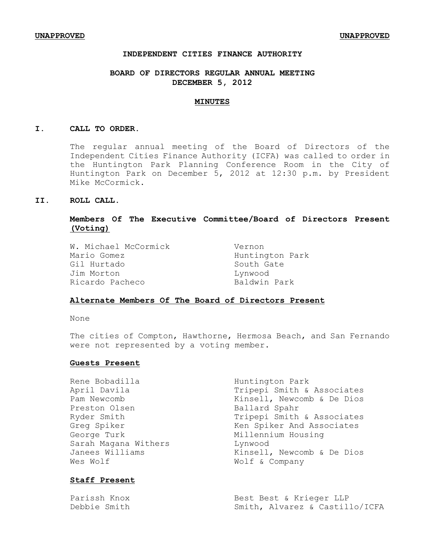# **INDEPENDENT CITIES FINANCE AUTHORITY**

# **BOARD OF DIRECTORS REGULAR ANNUAL MEETING DECEMBER 5, 2012**

### **MINUTES**

#### **I. CALL TO ORDER.**

The regular annual meeting of the Board of Directors of the Independent Cities Finance Authority (ICFA) was called to order in the Huntington Park Planning Conference Room in the City of Huntington Park on December 5, 2012 at 12:30 p.m. by President Mike McCormick.

### **II. ROLL CALL.**

# **Members Of The Executive Committee/Board of Directors Present (Voting)**

W. Michael McCormick Vernon Mario Gomez **Huntington Park** Gil Hurtado South Gate Jim Morton Lynwood Ricardo Pacheco Baldwin Park

### **Alternate Members Of The Board of Directors Present**

None

The cities of Compton, Hawthorne, Hermosa Beach, and San Fernando were not represented by a voting member.

### **Guests Present**

Rene Bobadilla Muntington Park April Davila **Tripepi Smith & Associates** Pam Newcomb  $\lambda$  Kinsell, Newcomb & De Dios Preston Olsen Ballard Spahr Ryder Smith Tripepi Smith & Associates Greg Spiker Ken Spiker And Associates George Turk **Millennium** Housing Sarah Magana Withers **Lynwood** Janees Williams **Kinsell**, Newcomb & De Dios Wes Wolf wolf & Company

# **Staff Present**

Parissh Knox **Best Best & Krieger LLP** Debbie Smith Smith, Alvarez & Castillo/ICFA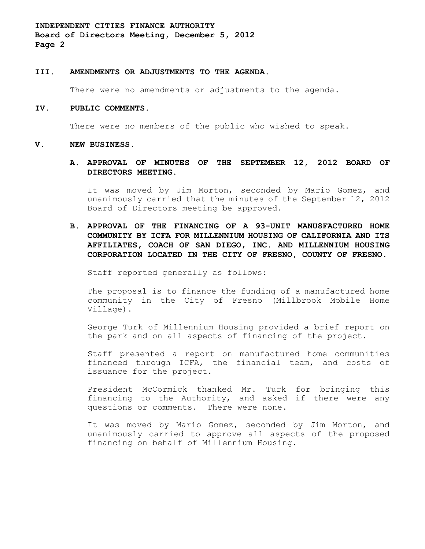**INDEPENDENT CITIES FINANCE AUTHORITY Board of Directors Meeting, December 5, 2012 Page 2**

### **III. AMENDMENTS OR ADJUSTMENTS TO THE AGENDA**.

There were no amendments or adjustments to the agenda.

#### **IV. PUBLIC COMMENTS.**

There were no members of the public who wished to speak.

#### **V. NEW BUSINESS.**

# **A. APPROVAL OF MINUTES OF THE SEPTEMBER 12, 2012 BOARD OF DIRECTORS MEETING.**

It was moved by Jim Morton, seconded by Mario Gomez, and unanimously carried that the minutes of the September 12, 2012 Board of Directors meeting be approved.

**B. APPROVAL OF THE FINANCING OF A 93-UNIT MANU8FACTURED HOME COMMUNITY BY ICFA FOR MILLENNIUM HOUSING OF CALIFORNIA AND ITS AFFILIATES, COACH OF SAN DIEGO, INC. AND MILLENNIUM HOUSING CORPORATION LOCATED IN THE CITY OF FRESNO, COUNTY OF FRESNO.**

Staff reported generally as follows:

The proposal is to finance the funding of a manufactured home community in the City of Fresno (Millbrook Mobile Home Village).

George Turk of Millennium Housing provided a brief report on the park and on all aspects of financing of the project.

Staff presented a report on manufactured home communities financed through ICFA, the financial team, and costs of issuance for the project.

President McCormick thanked Mr. Turk for bringing this financing to the Authority, and asked if there were any questions or comments. There were none.

It was moved by Mario Gomez, seconded by Jim Morton, and unanimously carried to approve all aspects of the proposed financing on behalf of Millennium Housing.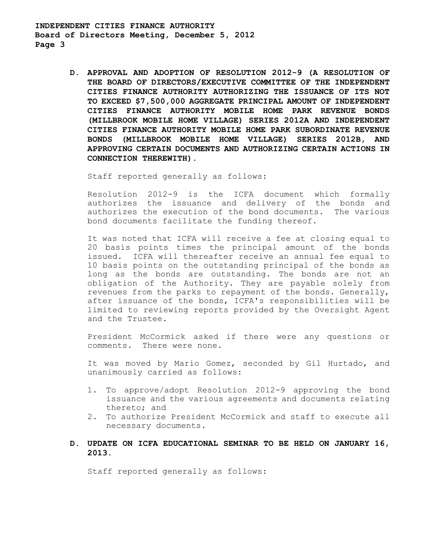**INDEPENDENT CITIES FINANCE AUTHORITY Board of Directors Meeting, December 5, 2012 Page 3**

> **D. APPROVAL AND ADOPTION OF RESOLUTION 2012-9 (A RESOLUTION OF THE BOARD OF DIRECTORS/EXECUTIVE COMMITTEE OF THE INDEPENDENT CITIES FINANCE AUTHORITY AUTHORIZING THE ISSUANCE OF ITS NOT TO EXCEED \$7,500,000 AGGREGATE PRINCIPAL AMOUNT OF INDEPENDENT CITIES FINANCE AUTHORITY MOBILE HOME PARK REVENUE BONDS (MILLBROOK MOBILE HOME VILLAGE) SERIES 2012A AND INDEPENDENT CITIES FINANCE AUTHORITY MOBILE HOME PARK SUBORDINATE REVENUE BONDS (MILLBROOK MOBILE HOME VILLAGE) SERIES 2012B, AND APPROVING CERTAIN DOCUMENTS AND AUTHORIZING CERTAIN ACTIONS IN CONNECTION THEREWITH).**

Staff reported generally as follows:

Resolution 2012-9 is the ICFA document which formally authorizes the issuance and delivery of the bonds and authorizes the execution of the bond documents. The various bond documents facilitate the funding thereof.

It was noted that ICFA will receive a fee at closing equal to 20 basis points times the principal amount of the bonds issued. ICFA will thereafter receive an annual fee equal to 10 basis points on the outstanding principal of the bonds as long as the bonds are outstanding. The bonds are not an obligation of the Authority. They are payable solely from revenues from the parks to repayment of the bonds. Generally, after issuance of the bonds, ICFA's responsibilities will be limited to reviewing reports provided by the Oversight Agent and the Trustee.

President McCormick asked if there were any questions or comments. There were none.

It was moved by Mario Gomez, seconded by Gil Hurtado, and unanimously carried as follows:

- 1. To approve/adopt Resolution 2012-9 approving the bond issuance and the various agreements and documents relating thereto; and
- 2. To authorize President McCormick and staff to execute all necessary documents.

# **D. UPDATE ON ICFA EDUCATIONAL SEMINAR TO BE HELD ON JANUARY 16, 2013.**

Staff reported generally as follows: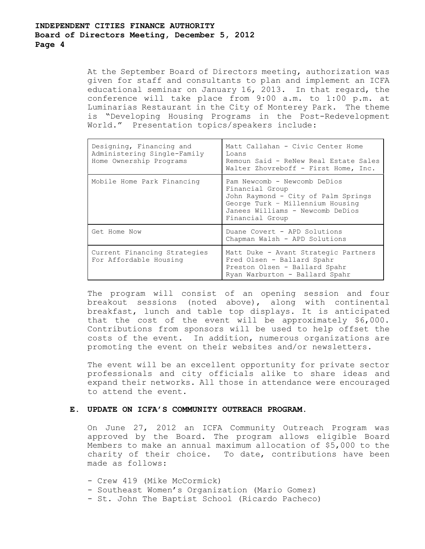At the September Board of Directors meeting, authorization was given for staff and consultants to plan and implement an ICFA educational seminar on January 16, 2013. In that regard, the conference will take place from 9:00 a.m. to 1:00 p.m. at Luminarias Restaurant in the City of Monterey Park. The theme is "Developing Housing Programs in the Post-Redevelopment World." Presentation topics/speakers include:

| Designing, Financing and<br>Administering Single-Family<br>Home Ownership Programs | Matt Callahan - Civic Center Home<br>Loans<br>Remoun Said - ReNew Real Estate Sales<br>Walter Zhovreboff - First Home, Inc.                                                       |
|------------------------------------------------------------------------------------|-----------------------------------------------------------------------------------------------------------------------------------------------------------------------------------|
| Mobile Home Park Financing                                                         | Pam Newcomb - Newcomb DeDios<br>Financial Group<br>John Raymond - City of Palm Springs<br>George Turk - Millennium Housing<br>Janees Williams - Newcomb DeDios<br>Financial Group |
| Get Home Now                                                                       | Duane Covert - APD Solutions<br>Chapman Walsh - APD Solutions                                                                                                                     |
| Current Financing Strategies<br>For Affordable Housing                             | Matt Duke - Avant Strategic Partners<br>Fred Olsen - Ballard Spahr<br>Preston Olsen - Ballard Spahr<br>Ryan Warburton - Ballard Spahr                                             |

The program will consist of an opening session and four breakout sessions (noted above), along with continental breakfast, lunch and table top displays. It is anticipated that the cost of the event will be approximately \$6,000. Contributions from sponsors will be used to help offset the costs of the event. In addition, numerous organizations are promoting the event on their websites and/or newsletters.

The event will be an excellent opportunity for private sector professionals and city officials alike to share ideas and expand their networks. All those in attendance were encouraged to attend the event.

# **E. UPDATE ON ICFA'S COMMUNITY OUTREACH PROGRAM.**

On June 27, 2012 an ICFA Community Outreach Program was approved by the Board. The program allows eligible Board Members to make an annual maximum allocation of \$5,000 to the charity of their choice. To date, contributions have been made as follows:

- Crew 419 (Mike McCormick)
- Southeast Women's Organization (Mario Gomez)
- St. John The Baptist School (Ricardo Pacheco)